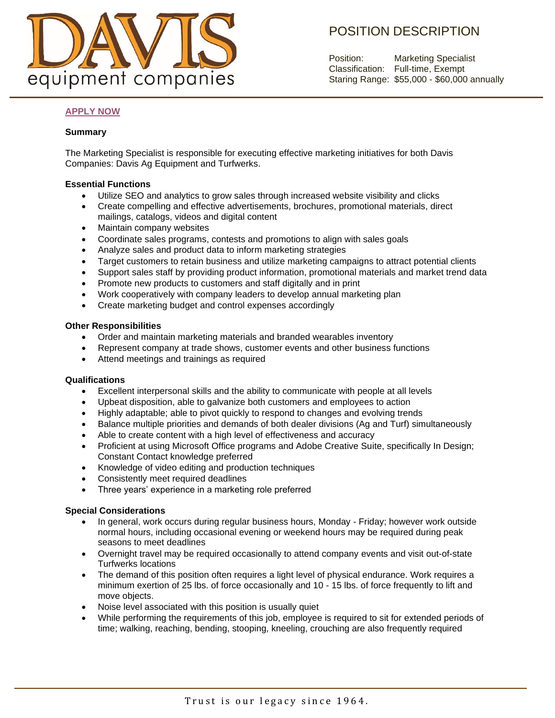

# POSITION DESCRIPTION

Position: Marketing Specialist Classification: Full-time, Exempt Staring Range: \$55,000 - \$60,000 annually

## **[APPLY NOW](https://form.jotform.com/221524293356051)**

### **Summary**

The Marketing Specialist is responsible for executing effective marketing initiatives for both Davis Companies: Davis Ag Equipment and Turfwerks.

### **Essential Functions**

- Utilize SEO and analytics to grow sales through increased website visibility and clicks
- Create compelling and effective advertisements, brochures, promotional materials, direct mailings, catalogs, videos and digital content
- Maintain company websites
- Coordinate sales programs, contests and promotions to align with sales goals
- Analyze sales and product data to inform marketing strategies
- Target customers to retain business and utilize marketing campaigns to attract potential clients
- Support sales staff by providing product information, promotional materials and market trend data
- Promote new products to customers and staff digitally and in print
- Work cooperatively with company leaders to develop annual marketing plan
- Create marketing budget and control expenses accordingly

#### **Other Responsibilities**

- Order and maintain marketing materials and branded wearables inventory
- Represent company at trade shows, customer events and other business functions
- Attend meetings and trainings as required

#### **Qualifications**

- Excellent interpersonal skills and the ability to communicate with people at all levels
- Upbeat disposition, able to galvanize both customers and employees to action
- Highly adaptable; able to pivot quickly to respond to changes and evolving trends
- Balance multiple priorities and demands of both dealer divisions (Ag and Turf) simultaneously
- Able to create content with a high level of effectiveness and accuracy
- Proficient at using Microsoft Office programs and Adobe Creative Suite, specifically In Design; Constant Contact knowledge preferred
- Knowledge of video editing and production techniques
- Consistently meet required deadlines
- Three years' experience in a marketing role preferred

#### **Special Considerations**

- In general, work occurs during regular business hours, Monday Friday; however work outside normal hours, including occasional evening or weekend hours may be required during peak seasons to meet deadlines
- Overnight travel may be required occasionally to attend company events and visit out-of-state Turfwerks locations
- The demand of this position often requires a light level of physical endurance. Work requires a minimum exertion of 25 lbs. of force occasionally and 10 - 15 lbs. of force frequently to lift and move objects.
- Noise level associated with this position is usually quiet
- While performing the requirements of this job, employee is required to sit for extended periods of time; walking, reaching, bending, stooping, kneeling, crouching are also frequently required